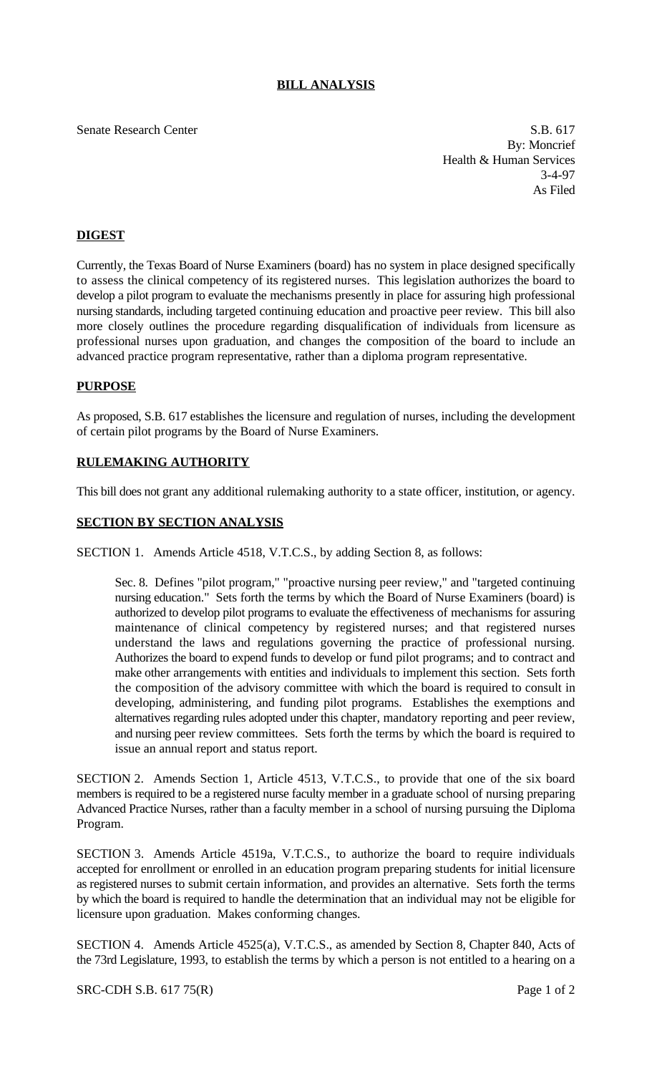# **BILL ANALYSIS**

#### Senate Research Center S.B. 617

By: Moncrief Health & Human Services 3-4-97 As Filed

## **DIGEST**

Currently, the Texas Board of Nurse Examiners (board) has no system in place designed specifically to assess the clinical competency of its registered nurses. This legislation authorizes the board to develop a pilot program to evaluate the mechanisms presently in place for assuring high professional nursing standards, including targeted continuing education and proactive peer review. This bill also more closely outlines the procedure regarding disqualification of individuals from licensure as professional nurses upon graduation, and changes the composition of the board to include an advanced practice program representative, rather than a diploma program representative.

### **PURPOSE**

As proposed, S.B. 617 establishes the licensure and regulation of nurses, including the development of certain pilot programs by the Board of Nurse Examiners.

### **RULEMAKING AUTHORITY**

This bill does not grant any additional rulemaking authority to a state officer, institution, or agency.

### **SECTION BY SECTION ANALYSIS**

SECTION 1. Amends Article 4518, V.T.C.S., by adding Section 8, as follows:

Sec. 8. Defines "pilot program," "proactive nursing peer review," and "targeted continuing nursing education." Sets forth the terms by which the Board of Nurse Examiners (board) is authorized to develop pilot programs to evaluate the effectiveness of mechanisms for assuring maintenance of clinical competency by registered nurses; and that registered nurses understand the laws and regulations governing the practice of professional nursing. Authorizes the board to expend funds to develop or fund pilot programs; and to contract and make other arrangements with entities and individuals to implement this section. Sets forth the composition of the advisory committee with which the board is required to consult in developing, administering, and funding pilot programs. Establishes the exemptions and alternatives regarding rules adopted under this chapter, mandatory reporting and peer review, and nursing peer review committees. Sets forth the terms by which the board is required to issue an annual report and status report.

SECTION 2. Amends Section 1, Article 4513, V.T.C.S., to provide that one of the six board members is required to be a registered nurse faculty member in a graduate school of nursing preparing Advanced Practice Nurses, rather than a faculty member in a school of nursing pursuing the Diploma Program.

SECTION 3. Amends Article 4519a, V.T.C.S., to authorize the board to require individuals accepted for enrollment or enrolled in an education program preparing students for initial licensure as registered nurses to submit certain information, and provides an alternative. Sets forth the terms by which the board is required to handle the determination that an individual may not be eligible for licensure upon graduation. Makes conforming changes.

SECTION 4. Amends Article 4525(a), V.T.C.S., as amended by Section 8, Chapter 840, Acts of the 73rd Legislature, 1993, to establish the terms by which a person is not entitled to a hearing on a